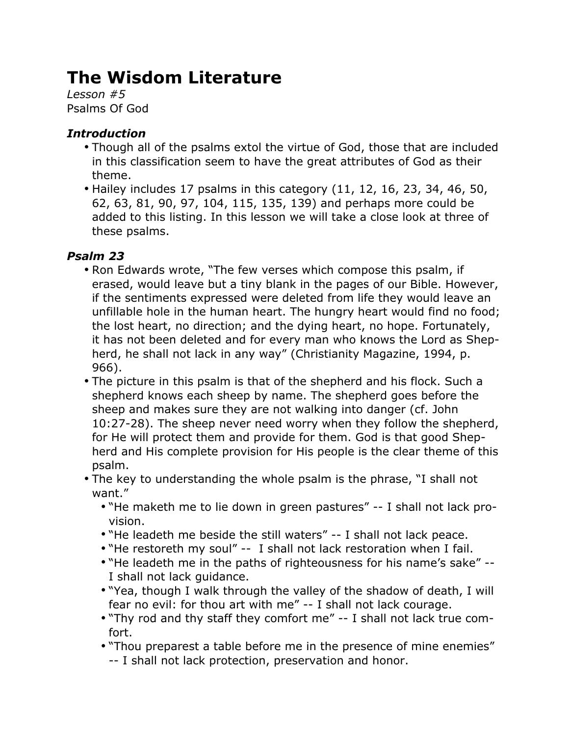# **The Wisdom Literature**

*Lesson #5* Psalms Of God

## *Introduction*

- Though all of the psalms extol the virtue of God, those that are included in this classification seem to have the great attributes of God as their theme.
- Hailey includes 17 psalms in this category (11, 12, 16, 23, 34, 46, 50, 62, 63, 81, 90, 97, 104, 115, 135, 139) and perhaps more could be added to this listing. In this lesson we will take a close look at three of these psalms.

## *Psalm 23*

- Ron Edwards wrote, "The few verses which compose this psalm, if erased, would leave but a tiny blank in the pages of our Bible. However, if the sentiments expressed were deleted from life they would leave an unfillable hole in the human heart. The hungry heart would find no food; the lost heart, no direction; and the dying heart, no hope. Fortunately, it has not been deleted and for every man who knows the Lord as Shepherd, he shall not lack in any way" (Christianity Magazine, 1994, p. 966).
- The picture in this psalm is that of the shepherd and his flock. Such a shepherd knows each sheep by name. The shepherd goes before the sheep and makes sure they are not walking into danger (cf. John 10:27-28). The sheep never need worry when they follow the shepherd, for He will protect them and provide for them. God is that good Shepherd and His complete provision for His people is the clear theme of this psalm.
- The key to understanding the whole psalm is the phrase, "I shall not want."
	- "He maketh me to lie down in green pastures" -- I shall not lack provision.
	- "He leadeth me beside the still waters" -- I shall not lack peace.
	- "He restoreth my soul" -- I shall not lack restoration when I fail.
	- "He leadeth me in the paths of righteousness for his name's sake" -- I shall not lack guidance.
	- "Yea, though I walk through the valley of the shadow of death, I will fear no evil: for thou art with me" -- I shall not lack courage.
	- "Thy rod and thy staff they comfort me" -- I shall not lack true comfort.
	- "Thou preparest a table before me in the presence of mine enemies" -- I shall not lack protection, preservation and honor.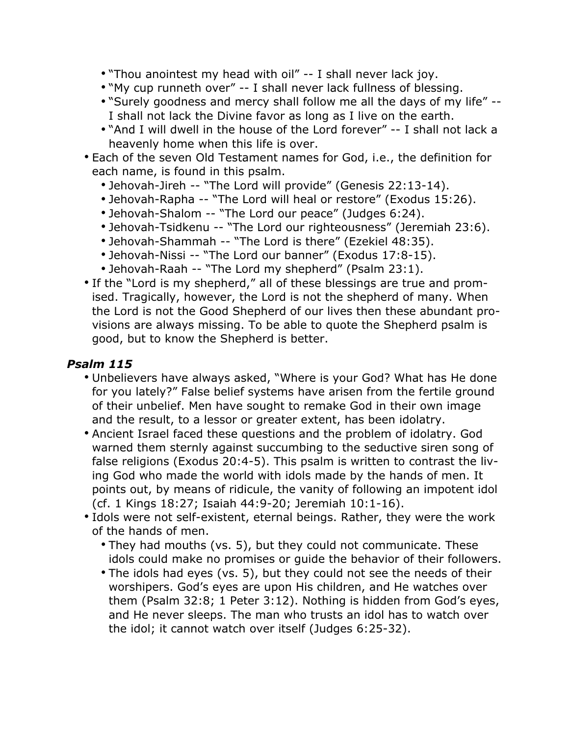- "Thou anointest my head with oil" -- I shall never lack joy.
- "My cup runneth over" -- I shall never lack fullness of blessing.
- "Surely goodness and mercy shall follow me all the days of my life" -- I shall not lack the Divine favor as long as I live on the earth.
- "And I will dwell in the house of the Lord forever" -- I shall not lack a heavenly home when this life is over.
- Each of the seven Old Testament names for God, i.e., the definition for each name, is found in this psalm.
	- Jehovah-Jireh -- "The Lord will provide" (Genesis 22:13-14).
	- Jehovah-Rapha -- "The Lord will heal or restore" (Exodus 15:26).
	- Jehovah-Shalom -- "The Lord our peace" (Judges 6:24).
	- Jehovah-Tsidkenu -- "The Lord our righteousness" (Jeremiah 23:6).
	- Jehovah-Shammah -- "The Lord is there" (Ezekiel 48:35).
	- Jehovah-Nissi -- "The Lord our banner" (Exodus 17:8-15).
	- Jehovah-Raah -- "The Lord my shepherd" (Psalm 23:1).
- If the "Lord is my shepherd," all of these blessings are true and promised. Tragically, however, the Lord is not the shepherd of many. When the Lord is not the Good Shepherd of our lives then these abundant provisions are always missing. To be able to quote the Shepherd psalm is good, but to know the Shepherd is better.

### *Psalm 115*

- Unbelievers have always asked, "Where is your God? What has He done for you lately?" False belief systems have arisen from the fertile ground of their unbelief. Men have sought to remake God in their own image and the result, to a lessor or greater extent, has been idolatry.
- Ancient Israel faced these questions and the problem of idolatry. God warned them sternly against succumbing to the seductive siren song of false religions (Exodus 20:4-5). This psalm is written to contrast the living God who made the world with idols made by the hands of men. It points out, by means of ridicule, the vanity of following an impotent idol (cf. 1 Kings 18:27; Isaiah 44:9-20; Jeremiah 10:1-16).
- Idols were not self-existent, eternal beings. Rather, they were the work of the hands of men.
	- They had mouths (vs. 5), but they could not communicate. These idols could make no promises or guide the behavior of their followers.
	- The idols had eyes (vs. 5), but they could not see the needs of their worshipers. God's eyes are upon His children, and He watches over them (Psalm 32:8; 1 Peter 3:12). Nothing is hidden from God's eyes, and He never sleeps. The man who trusts an idol has to watch over the idol; it cannot watch over itself (Judges 6:25-32).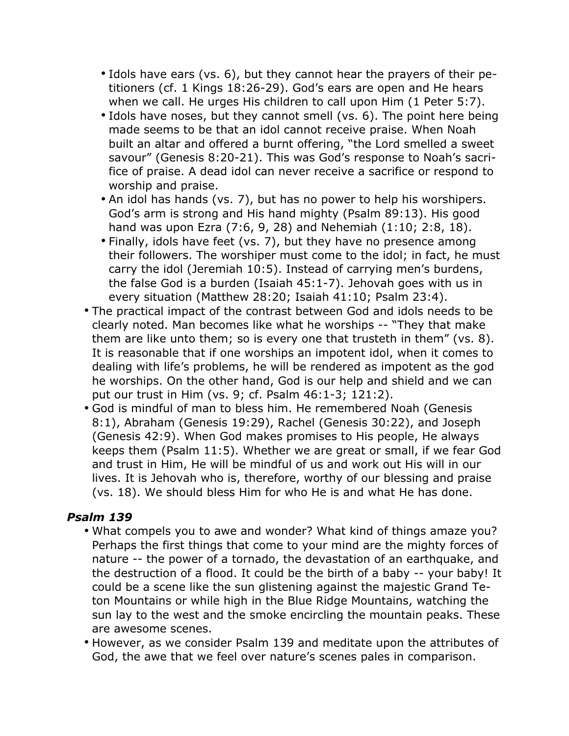- Idols have ears (vs. 6), but they cannot hear the prayers of their petitioners (cf. 1 Kings 18:26-29). God's ears are open and He hears when we call. He urges His children to call upon Him (1 Peter 5:7).
- Idols have noses, but they cannot smell (vs. 6). The point here being made seems to be that an idol cannot receive praise. When Noah built an altar and offered a burnt offering, "the Lord smelled a sweet savour" (Genesis 8:20-21). This was God's response to Noah's sacrifice of praise. A dead idol can never receive a sacrifice or respond to worship and praise.
- An idol has hands (vs. 7), but has no power to help his worshipers. God's arm is strong and His hand mighty (Psalm 89:13). His good hand was upon Ezra (7:6, 9, 28) and Nehemiah (1:10; 2:8, 18).
- Finally, idols have feet (vs. 7), but they have no presence among their followers. The worshiper must come to the idol; in fact, he must carry the idol (Jeremiah 10:5). Instead of carrying men's burdens, the false God is a burden (Isaiah 45:1-7). Jehovah goes with us in every situation (Matthew 28:20; Isaiah 41:10; Psalm 23:4).
- The practical impact of the contrast between God and idols needs to be clearly noted. Man becomes like what he worships -- "They that make them are like unto them; so is every one that trusteth in them" (vs. 8). It is reasonable that if one worships an impotent idol, when it comes to dealing with life's problems, he will be rendered as impotent as the god he worships. On the other hand, God is our help and shield and we can put our trust in Him (vs. 9; cf. Psalm 46:1-3; 121:2).
- God is mindful of man to bless him. He remembered Noah (Genesis 8:1), Abraham (Genesis 19:29), Rachel (Genesis 30:22), and Joseph (Genesis 42:9). When God makes promises to His people, He always keeps them (Psalm 11:5). Whether we are great or small, if we fear God and trust in Him, He will be mindful of us and work out His will in our lives. It is Jehovah who is, therefore, worthy of our blessing and praise (vs. 18). We should bless Him for who He is and what He has done.

#### *Psalm 139*

- What compels you to awe and wonder? What kind of things amaze you? Perhaps the first things that come to your mind are the mighty forces of nature -- the power of a tornado, the devastation of an earthquake, and the destruction of a flood. It could be the birth of a baby -- your baby! It could be a scene like the sun glistening against the majestic Grand Teton Mountains or while high in the Blue Ridge Mountains, watching the sun lay to the west and the smoke encircling the mountain peaks. These are awesome scenes.
- However, as we consider Psalm 139 and meditate upon the attributes of God, the awe that we feel over nature's scenes pales in comparison.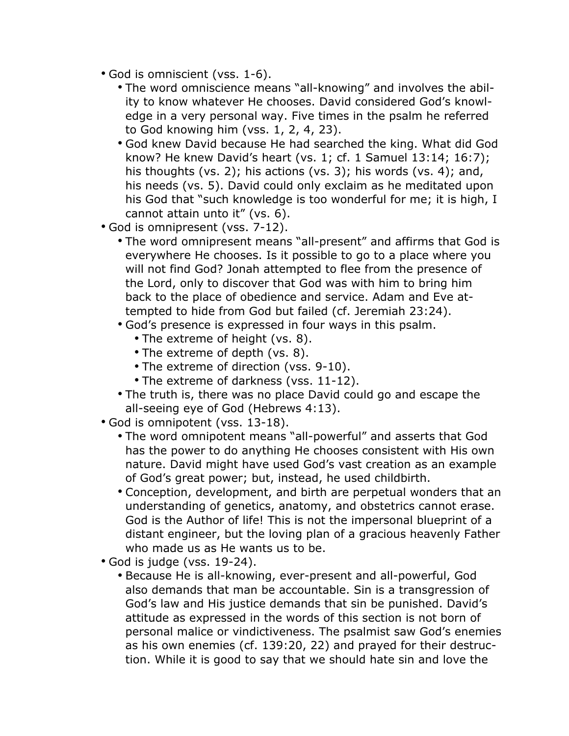- God is omniscient (vss. 1-6).
	- The word omniscience means "all-knowing" and involves the ability to know whatever He chooses. David considered God's knowledge in a very personal way. Five times in the psalm he referred to God knowing him (vss. 1, 2, 4, 23).
	- God knew David because He had searched the king. What did God know? He knew David's heart (vs. 1; cf. 1 Samuel 13:14; 16:7); his thoughts (vs. 2); his actions (vs. 3); his words (vs. 4); and, his needs (vs. 5). David could only exclaim as he meditated upon his God that "such knowledge is too wonderful for me; it is high, I cannot attain unto it" (vs. 6).
- God is omnipresent (vss. 7-12).
	- The word omnipresent means "all-present" and affirms that God is everywhere He chooses. Is it possible to go to a place where you will not find God? Jonah attempted to flee from the presence of the Lord, only to discover that God was with him to bring him back to the place of obedience and service. Adam and Eve attempted to hide from God but failed (cf. Jeremiah 23:24).
	- God's presence is expressed in four ways in this psalm.
		- The extreme of height (vs. 8).
		- The extreme of depth (vs. 8).
		- The extreme of direction (vss. 9-10).
		- The extreme of darkness (vss. 11-12).
	- The truth is, there was no place David could go and escape the all-seeing eye of God (Hebrews 4:13).
- God is omnipotent (vss. 13-18).
	- The word omnipotent means "all-powerful" and asserts that God has the power to do anything He chooses consistent with His own nature. David might have used God's vast creation as an example of God's great power; but, instead, he used childbirth.
	- Conception, development, and birth are perpetual wonders that an understanding of genetics, anatomy, and obstetrics cannot erase. God is the Author of life! This is not the impersonal blueprint of a distant engineer, but the loving plan of a gracious heavenly Father who made us as He wants us to be.
- God is judge (vss. 19-24).
	- Because He is all-knowing, ever-present and all-powerful, God also demands that man be accountable. Sin is a transgression of God's law and His justice demands that sin be punished. David's attitude as expressed in the words of this section is not born of personal malice or vindictiveness. The psalmist saw God's enemies as his own enemies (cf. 139:20, 22) and prayed for their destruction. While it is good to say that we should hate sin and love the